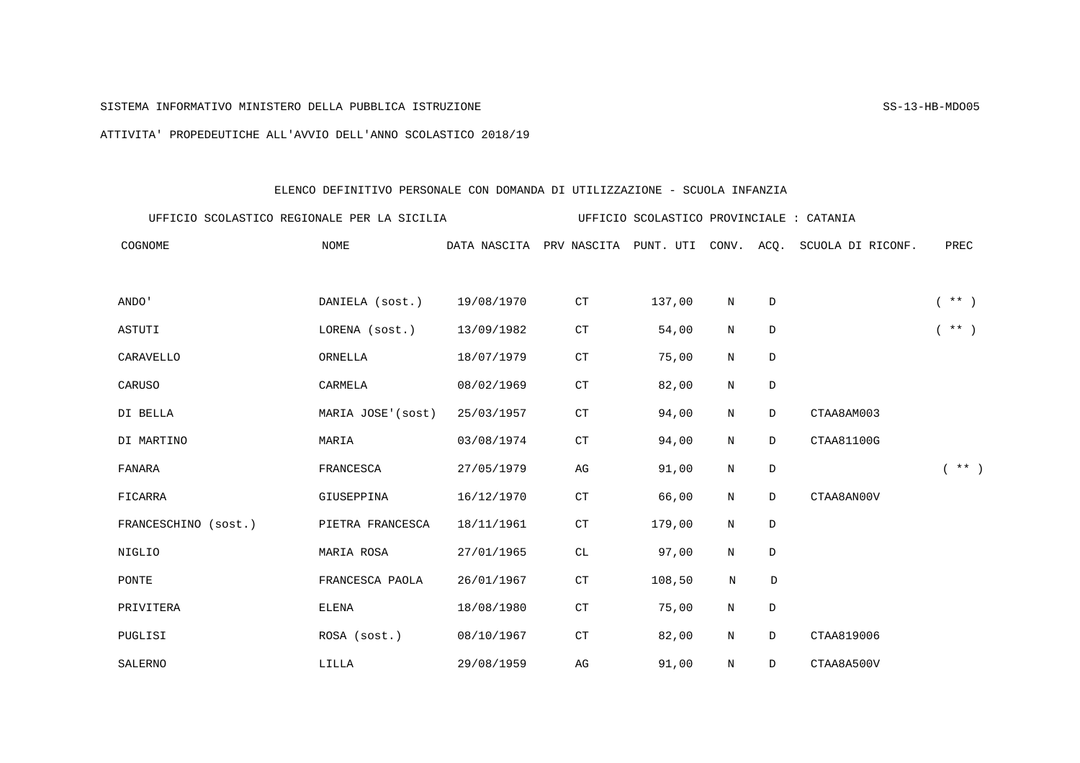## SISTEMA INFORMATIVO MINISTERO DELLA PUBBLICA ISTRUZIONE SS-13-HB-MDO05

ATTIVITA' PROPEDEUTICHE ALL'AVVIO DELL'ANNO SCOLASTICO 2018/19

## ELENCO DEFINITIVO PERSONALE CON DOMANDA DI UTILIZZAZIONE - SCUOLA INFANZIA

| UFFICIO SCOLASTICO REGIONALE PER LA SICILIA |                   | UFFICIO SCOLASTICO PROVINCIALE : CATANIA |                          |        |              |             |                                        |          |
|---------------------------------------------|-------------------|------------------------------------------|--------------------------|--------|--------------|-------------|----------------------------------------|----------|
| COGNOME                                     | <b>NOME</b>       |                                          | DATA NASCITA PRV NASCITA |        |              |             | PUNT. UTI CONV. ACO. SCUOLA DI RICONF. | PREC     |
| ANDO'                                       | DANIELA (sost.)   | 19/08/1970                               | CT                       | 137,00 | N            | $\mathbb D$ |                                        | $(* * )$ |
| ASTUTI                                      | LORENA (sost.)    | 13/09/1982                               | CT                       | 54,00  | N            | $\mathbb D$ |                                        | $(* * )$ |
| <b>CARAVELLO</b>                            | ORNELLA           | 18/07/1979                               | CT                       | 75,00  | N            | D           |                                        |          |
| CARUSO                                      | CARMELA           | 08/02/1969                               | ${\cal C}{\cal T}$       | 82,00  | N            | D           |                                        |          |
| DI BELLA                                    | MARIA JOSE'(sost) | 25/03/1957                               | ${\cal C}{\cal T}$       | 94,00  | N            | D           | CTAA8AM003                             |          |
| DI MARTINO                                  | MARIA             | 03/08/1974                               | ${\cal C}{\cal T}$       | 94,00  | N            | D           | CTAA81100G                             |          |
| FANARA                                      | FRANCESCA         | 27/05/1979                               | AG                       | 91,00  | N            | D           |                                        | $(* * )$ |
| FICARRA                                     | GIUSEPPINA        | 16/12/1970                               | ${\cal C}{\cal T}$       | 66,00  | N            | D           | CTAA8AN00V                             |          |
| FRANCESCHINO (sost.)                        | PIETRA FRANCESCA  | 18/11/1961                               | ${\cal C}{\cal T}$       | 179,00 | N            | D           |                                        |          |
| NIGLIO                                      | MARIA ROSA        | 27/01/1965                               | CL                       | 97,00  | N            | D           |                                        |          |
| PONTE                                       | FRANCESCA PAOLA   | 26/01/1967                               | $\mathbb{C}\mathbb{T}$   | 108,50 | $\, {\rm N}$ | $\mathbb D$ |                                        |          |
| PRIVITERA                                   | <b>ELENA</b>      | 18/08/1980                               | ${\cal C}{\cal T}$       | 75,00  | N            | $\mathbb D$ |                                        |          |
| PUGLISI                                     | ROSA (sost.)      | 08/10/1967                               | $\mathbb{C}\mathbb{T}$   | 82,00  | N            | D           | CTAA819006                             |          |
| SALERNO                                     | LILLA             | 29/08/1959                               | AG                       | 91,00  | N            | D           | CTAA8A500V                             |          |